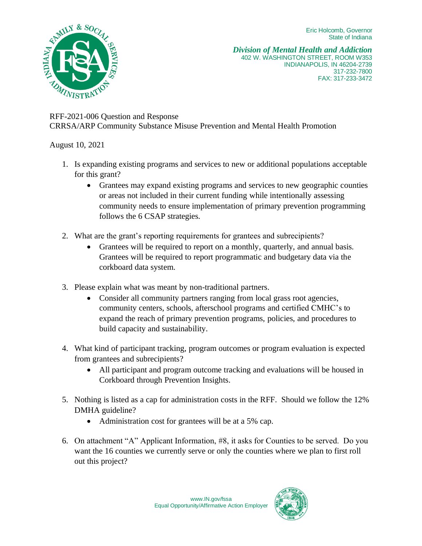Eric Holcomb, Governor State of Indiana



*Division of Mental Health and Addiction* 402 W. WASHINGTON STREET, ROOM W353 INDIANAPOLIS, IN 46204-2739 317-232-7800 FAX: 317-233-3472

## RFF-2021-006 Question and Response CRRSA/ARP Community Substance Misuse Prevention and Mental Health Promotion

August 10, 2021

- 1. Is expanding existing programs and services to new or additional populations acceptable for this grant?
	- Grantees may expand existing programs and services to new geographic counties or areas not included in their current funding while intentionally assessing community needs to ensure implementation of primary prevention programming follows the 6 CSAP strategies.
- 2. What are the grant's reporting requirements for grantees and subrecipients?
	- Grantees will be required to report on a monthly, quarterly, and annual basis. Grantees will be required to report programmatic and budgetary data via the corkboard data system.
- 3. Please explain what was meant by non-traditional partners.
	- Consider all community partners ranging from local grass root agencies, community centers, schools, afterschool programs and certified CMHC's to expand the reach of primary prevention programs, policies, and procedures to build capacity and sustainability.
- 4. What kind of participant tracking, program outcomes or program evaluation is expected from grantees and subrecipients?
	- All participant and program outcome tracking and evaluations will be housed in Corkboard through Prevention Insights.
- 5. Nothing is listed as a cap for administration costs in the RFF. Should we follow the 12% DMHA guideline?
	- Administration cost for grantees will be at a 5% cap.
- 6. On attachment "A" Applicant Information, #8, it asks for Counties to be served. Do you want the 16 counties we currently serve or only the counties where we plan to first roll out this project?

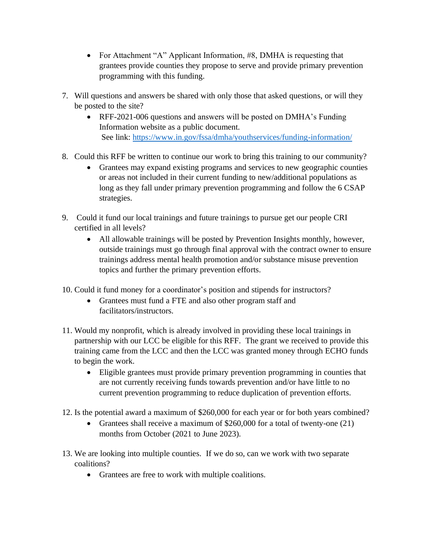- For Attachment "A" Applicant Information, #8, DMHA is requesting that grantees provide counties they propose to serve and provide primary prevention programming with this funding.
- 7. Will questions and answers be shared with only those that asked questions, or will they be posted to the site?
	- RFF-2021-006 questions and answers will be posted on DMHA's Funding Information website as a public document. See link:<https://www.in.gov/fssa/dmha/youthservices/funding-information/>
- 8. Could this RFF be written to continue our work to bring this training to our community?
	- Grantees may expand existing programs and services to new geographic counties or areas not included in their current funding to new/additional populations as long as they fall under primary prevention programming and follow the 6 CSAP strategies.
- 9. Could it fund our local trainings and future trainings to pursue get our people CRI certified in all levels?
	- All allowable trainings will be posted by Prevention Insights monthly, however, outside trainings must go through final approval with the contract owner to ensure trainings address mental health promotion and/or substance misuse prevention topics and further the primary prevention efforts.
- 10. Could it fund money for a coordinator's position and stipends for instructors?
	- Grantees must fund a FTE and also other program staff and facilitators/instructors.
- 11. Would my nonprofit, which is already involved in providing these local trainings in partnership with our LCC be eligible for this RFF. The grant we received to provide this training came from the LCC and then the LCC was granted money through ECHO funds to begin the work.
	- Eligible grantees must provide primary prevention programming in counties that are not currently receiving funds towards prevention and/or have little to no current prevention programming to reduce duplication of prevention efforts.
- 12. Is the potential award a maximum of \$260,000 for each year or for both years combined?
	- Grantees shall receive a maximum of \$260,000 for a total of twenty-one (21) months from October (2021 to June 2023).
- 13. We are looking into multiple counties. If we do so, can we work with two separate coalitions?
	- Grantees are free to work with multiple coalitions.